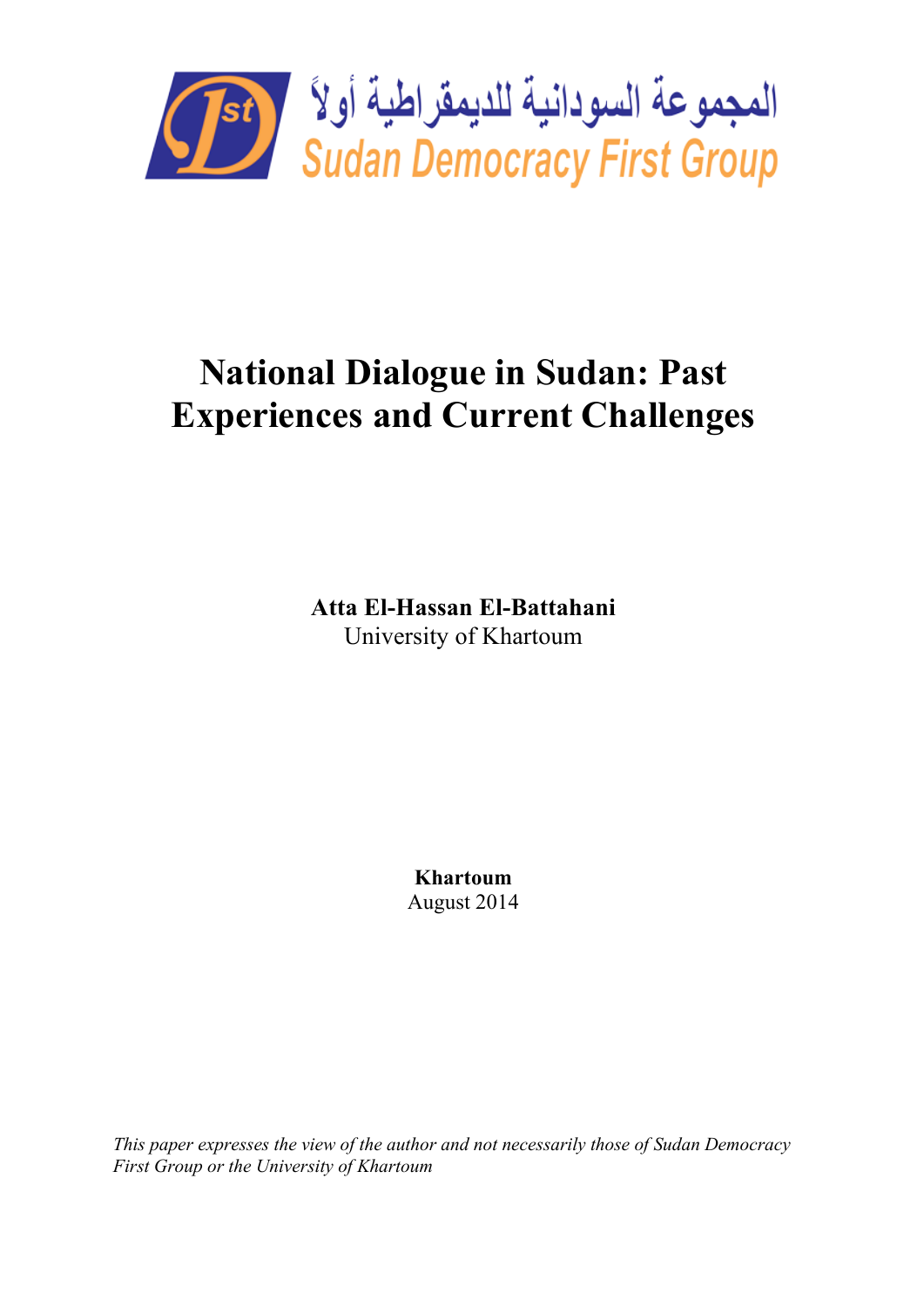

# **National Dialogue in Sudan: Past Experiences and Current Challenges**

**Atta El-Hassan El-Battahani** University of Khartoum

> **Khartoum** August 2014

*This paper expresses the view of the author and not necessarily those of Sudan Democracy First Group or the University of Khartoum*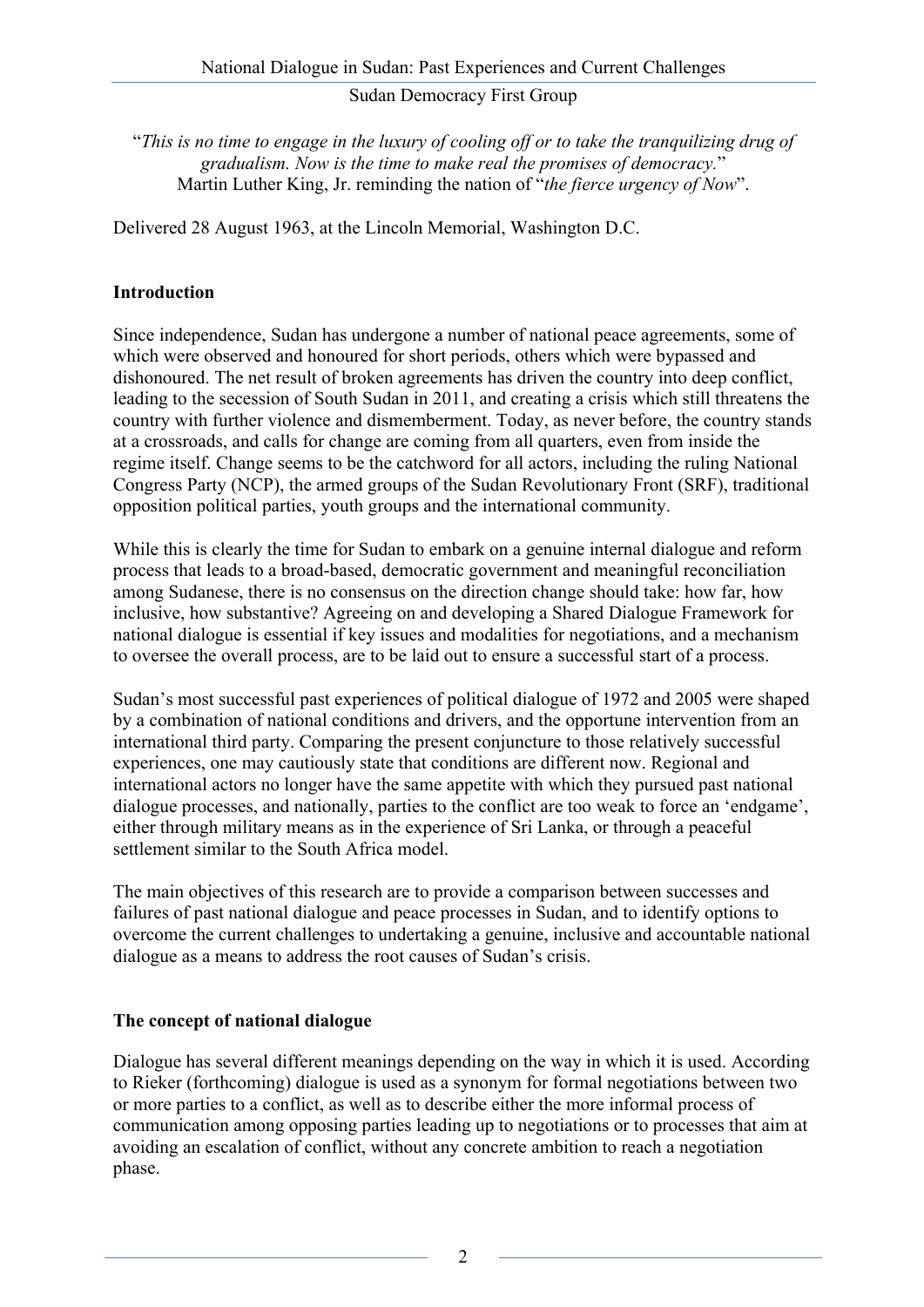"*This is no time to engage in the luxury of cooling off or to take the tranquilizing drug of gradualism. Now is the time to make real the promises of democracy.*" Martin Luther King, Jr. reminding the nation of "*the fierce urgency of Now*".

Delivered 28 August 1963, at the Lincoln Memorial, Washington D.C.

# **Introduction**

Since independence, Sudan has undergone a number of national peace agreements, some of which were observed and honoured for short periods, others which were bypassed and dishonoured. The net result of broken agreements has driven the country into deep conflict, leading to the secession of South Sudan in 2011, and creating a crisis which still threatens the country with further violence and dismemberment. Today, as never before, the country stands at a crossroads, and calls for change are coming from all quarters, even from inside the regime itself. Change seems to be the catchword for all actors, including the ruling National Congress Party (NCP), the armed groups of the Sudan Revolutionary Front (SRF), traditional opposition political parties, youth groups and the international community.

While this is clearly the time for Sudan to embark on a genuine internal dialogue and reform process that leads to a broad-based, democratic government and meaningful reconciliation among Sudanese, there is no consensus on the direction change should take: how far, how inclusive, how substantive? Agreeing on and developing a Shared Dialogue Framework for national dialogue is essential if key issues and modalities for negotiations, and a mechanism to oversee the overall process, are to be laid out to ensure a successful start of a process.

Sudan's most successful past experiences of political dialogue of 1972 and 2005 were shaped by a combination of national conditions and drivers, and the opportune intervention from an international third party. Comparing the present conjuncture to those relatively successful experiences, one may cautiously state that conditions are different now. Regional and international actors no longer have the same appetite with which they pursued past national dialogue processes, and nationally, parties to the conflict are too weak to force an 'endgame', either through military means as in the experience of Sri Lanka, or through a peaceful settlement similar to the South Africa model.

The main objectives of this research are to provide a comparison between successes and failures of past national dialogue and peace processes in Sudan, and to identify options to overcome the current challenges to undertaking a genuine, inclusive and accountable national dialogue as a means to address the root causes of Sudan's crisis.

# **The concept of national dialogue**

Dialogue has several different meanings depending on the way in which it is used. According to Rieker (forthcoming) dialogue is used as a synonym for formal negotiations between two or more parties to a conflict, as well as to describe either the more informal process of communication among opposing parties leading up to negotiations or to processes that aim at avoiding an escalation of conflict, without any concrete ambition to reach a negotiation phase.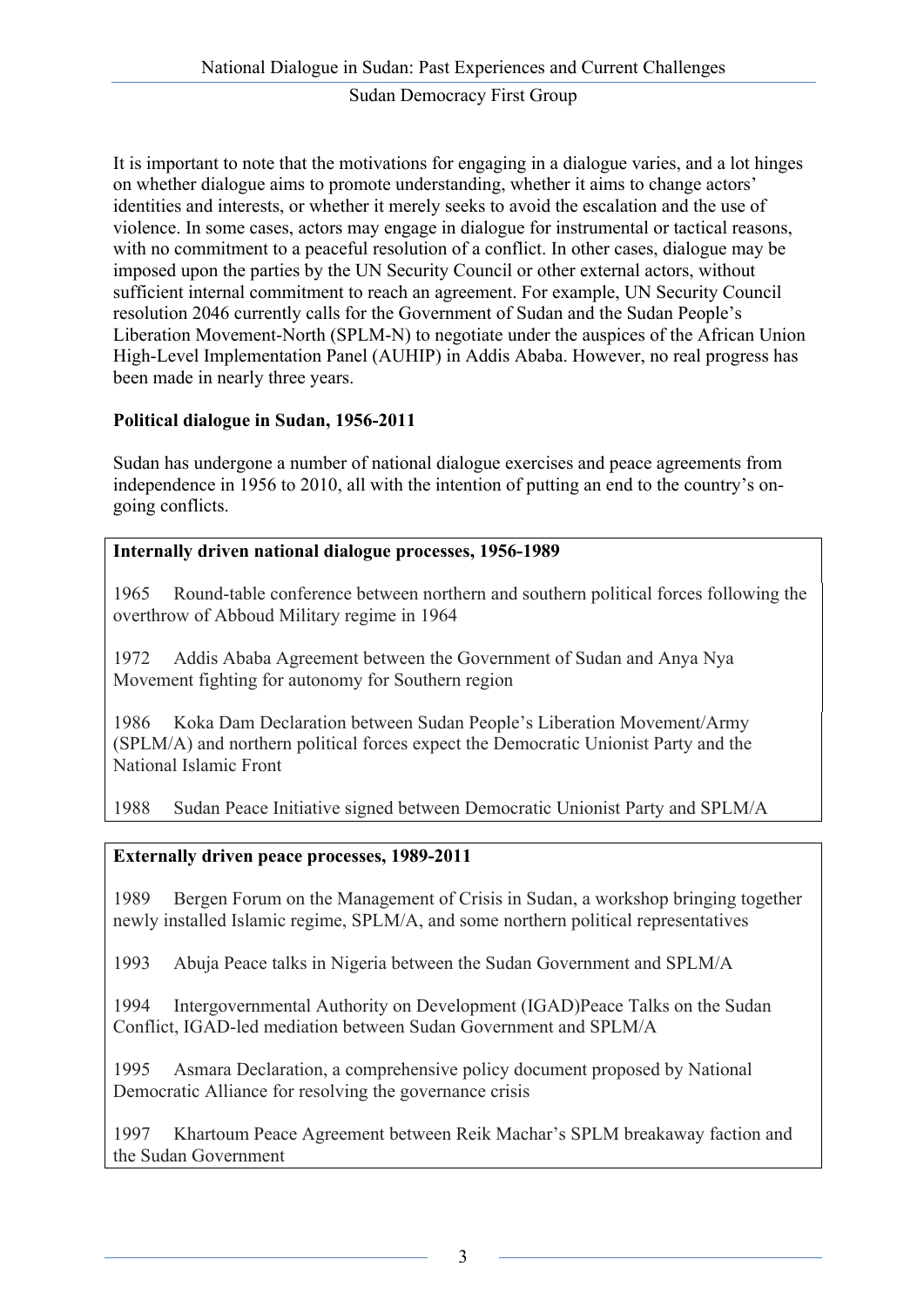It is important to note that the motivations for engaging in a dialogue varies, and a lot hinges on whether dialogue aims to promote understanding, whether it aims to change actors' identities and interests, or whether it merely seeks to avoid the escalation and the use of violence. In some cases, actors may engage in dialogue for instrumental or tactical reasons, with no commitment to a peaceful resolution of a conflict. In other cases, dialogue may be imposed upon the parties by the UN Security Council or other external actors, without sufficient internal commitment to reach an agreement. For example, UN Security Council resolution 2046 currently calls for the Government of Sudan and the Sudan People's Liberation Movement-North (SPLM-N) to negotiate under the auspices of the African Union High-Level Implementation Panel (AUHIP) in Addis Ababa. However, no real progress has been made in nearly three years.

# **Political dialogue in Sudan, 1956-2011**

Sudan has undergone a number of national dialogue exercises and peace agreements from independence in 1956 to 2010, all with the intention of putting an end to the country's ongoing conflicts.

# **Internally driven national dialogue processes, 1956-1989**

1965 Round-table conference between northern and southern political forces following the overthrow of Abboud Military regime in 1964

1972 Addis Ababa Agreement between the Government of Sudan and Anya Nya Movement fighting for autonomy for Southern region

1986 Koka Dam Declaration between Sudan People's Liberation Movement/Army (SPLM/A) and northern political forces expect the Democratic Unionist Party and the National Islamic Front

1988 Sudan Peace Initiative signed between Democratic Unionist Party and SPLM/A

# **Externally driven peace processes, 1989-2011**

1989 Bergen Forum on the Management of Crisis in Sudan, a workshop bringing together newly installed Islamic regime, SPLM/A, and some northern political representatives

1993 Abuja Peace talks in Nigeria between the Sudan Government and SPLM/A

1994 Intergovernmental Authority on Development (IGAD)Peace Talks on the Sudan Conflict, IGAD-led mediation between Sudan Government and SPLM/A

1995 Asmara Declaration, a comprehensive policy document proposed by National Democratic Alliance for resolving the governance crisis

1997 Khartoum Peace Agreement between Reik Machar's SPLM breakaway faction and the Sudan Government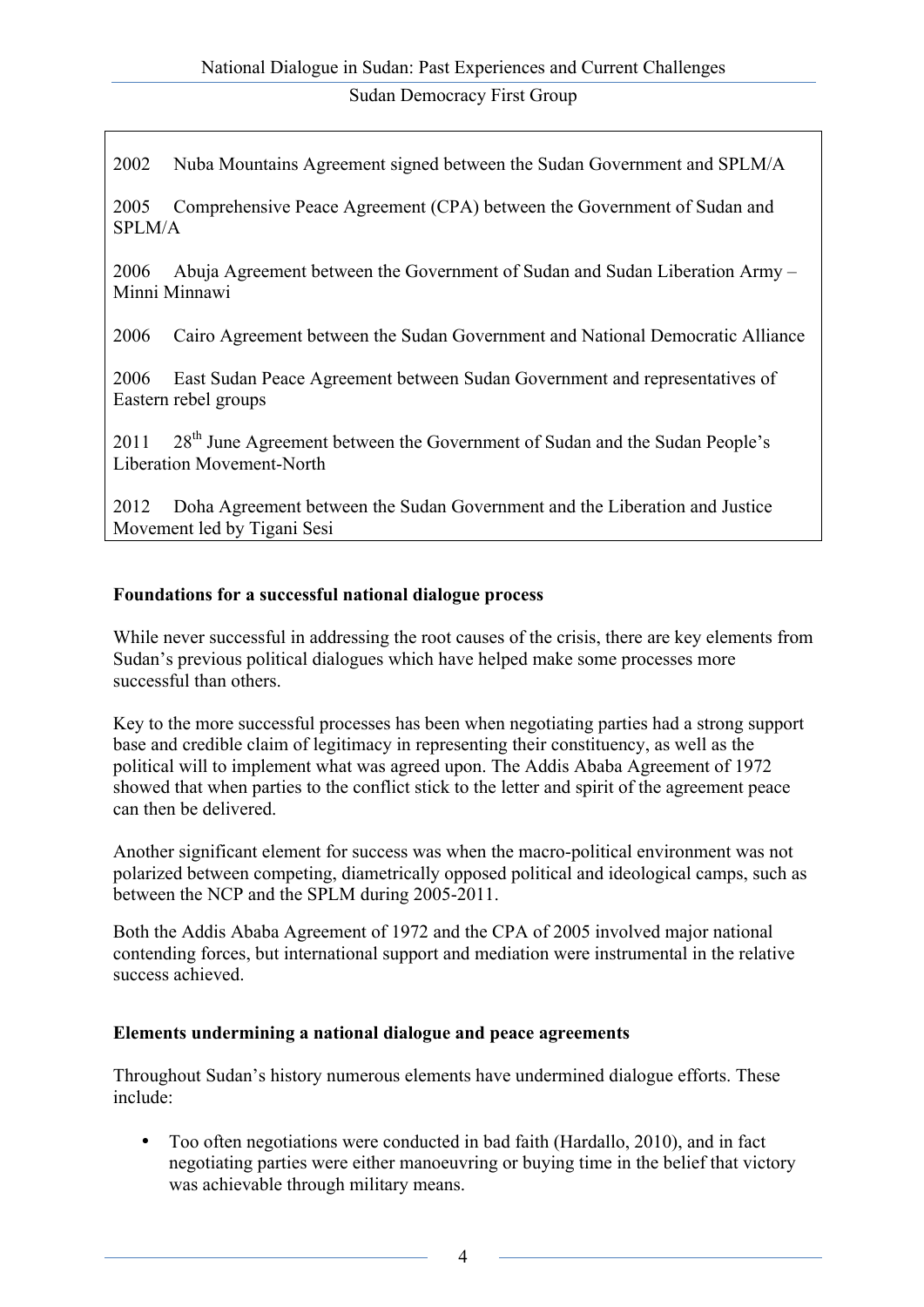2002 Nuba Mountains Agreement signed between the Sudan Government and SPLM/A

2005 Comprehensive Peace Agreement (CPA) between the Government of Sudan and SPLM/A

2006 Abuja Agreement between the Government of Sudan and Sudan Liberation Army – Minni Minnawi

2006 Cairo Agreement between the Sudan Government and National Democratic Alliance

2006 East Sudan Peace Agreement between Sudan Government and representatives of Eastern rebel groups

2011 28<sup>th</sup> June Agreement between the Government of Sudan and the Sudan People's Liberation Movement-North

2012 Doha Agreement between the Sudan Government and the Liberation and Justice Movement led by Tigani Sesi

# **Foundations for a successful national dialogue process**

While never successful in addressing the root causes of the crisis, there are key elements from Sudan's previous political dialogues which have helped make some processes more successful than others.

Key to the more successful processes has been when negotiating parties had a strong support base and credible claim of legitimacy in representing their constituency, as well as the political will to implement what was agreed upon. The Addis Ababa Agreement of 1972 showed that when parties to the conflict stick to the letter and spirit of the agreement peace can then be delivered.

Another significant element for success was when the macro-political environment was not polarized between competing, diametrically opposed political and ideological camps, such as between the NCP and the SPLM during 2005-2011.

Both the Addis Ababa Agreement of 1972 and the CPA of 2005 involved major national contending forces, but international support and mediation were instrumental in the relative success achieved.

## **Elements undermining a national dialogue and peace agreements**

Throughout Sudan's history numerous elements have undermined dialogue efforts. These include:

• Too often negotiations were conducted in bad faith (Hardallo, 2010), and in fact negotiating parties were either manoeuvring or buying time in the belief that victory was achievable through military means.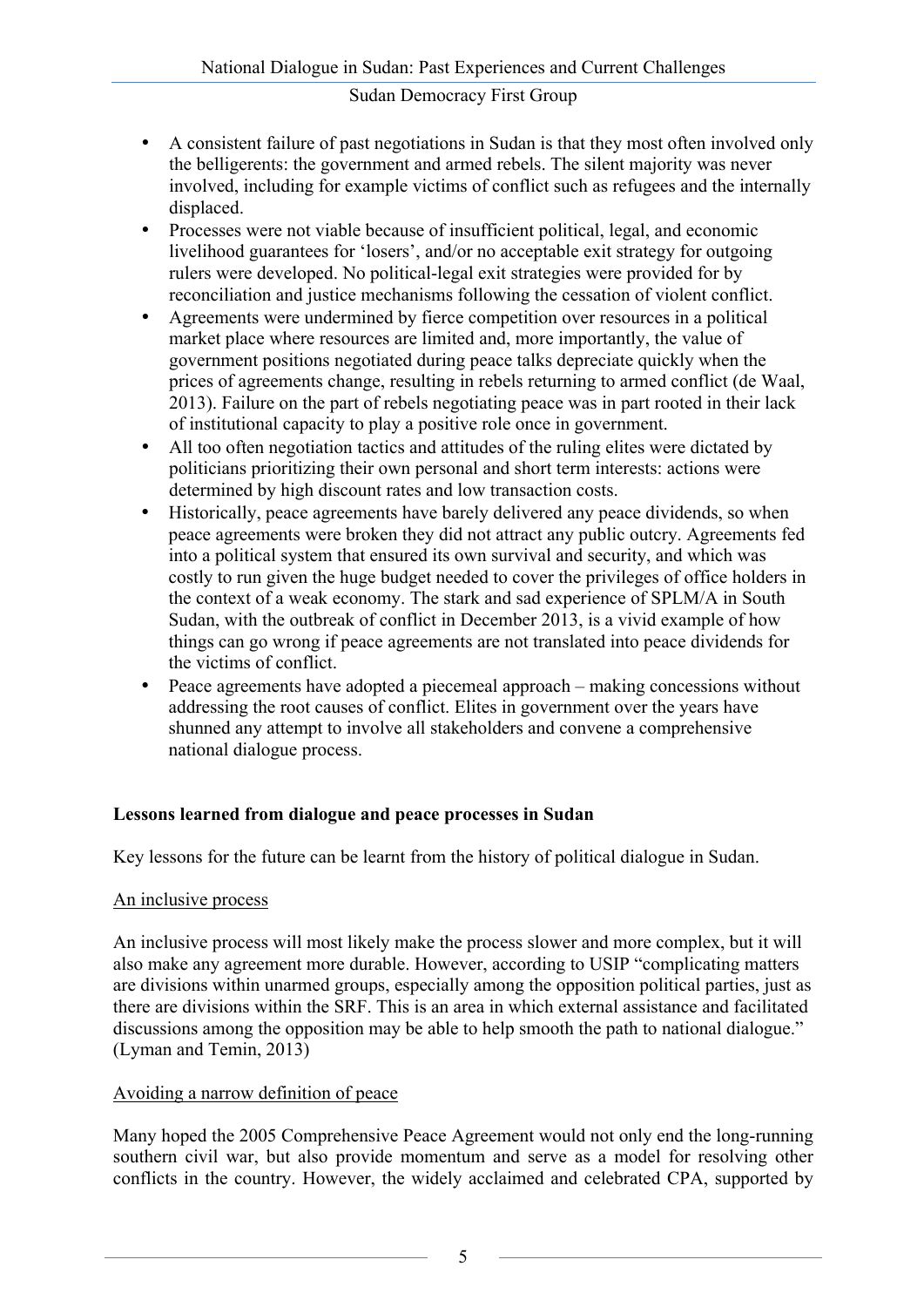- A consistent failure of past negotiations in Sudan is that they most often involved only the belligerents: the government and armed rebels. The silent majority was never involved, including for example victims of conflict such as refugees and the internally displaced.
- Processes were not viable because of insufficient political, legal, and economic livelihood guarantees for 'losers', and/or no acceptable exit strategy for outgoing rulers were developed. No political-legal exit strategies were provided for by reconciliation and justice mechanisms following the cessation of violent conflict.
- Agreements were undermined by fierce competition over resources in a political market place where resources are limited and, more importantly, the value of government positions negotiated during peace talks depreciate quickly when the prices of agreements change, resulting in rebels returning to armed conflict (de Waal, 2013). Failure on the part of rebels negotiating peace was in part rooted in their lack of institutional capacity to play a positive role once in government.
- All too often negotiation tactics and attitudes of the ruling elites were dictated by politicians prioritizing their own personal and short term interests: actions were determined by high discount rates and low transaction costs.
- Historically, peace agreements have barely delivered any peace dividends, so when peace agreements were broken they did not attract any public outcry. Agreements fed into a political system that ensured its own survival and security, and which was costly to run given the huge budget needed to cover the privileges of office holders in the context of a weak economy. The stark and sad experience of SPLM/A in South Sudan, with the outbreak of conflict in December 2013, is a vivid example of how things can go wrong if peace agreements are not translated into peace dividends for the victims of conflict.
- Peace agreements have adopted a piecemeal approach making concessions without addressing the root causes of conflict. Elites in government over the years have shunned any attempt to involve all stakeholders and convene a comprehensive national dialogue process.

# **Lessons learned from dialogue and peace processes in Sudan**

Key lessons for the future can be learnt from the history of political dialogue in Sudan.

## An inclusive process

An inclusive process will most likely make the process slower and more complex, but it will also make any agreement more durable. However, according to USIP "complicating matters are divisions within unarmed groups, especially among the opposition political parties, just as there are divisions within the SRF. This is an area in which external assistance and facilitated discussions among the opposition may be able to help smooth the path to national dialogue." (Lyman and Temin, 2013)

## Avoiding a narrow definition of peace

Many hoped the 2005 Comprehensive Peace Agreement would not only end the long-running southern civil war, but also provide momentum and serve as a model for resolving other conflicts in the country. However, the widely acclaimed and celebrated CPA, supported by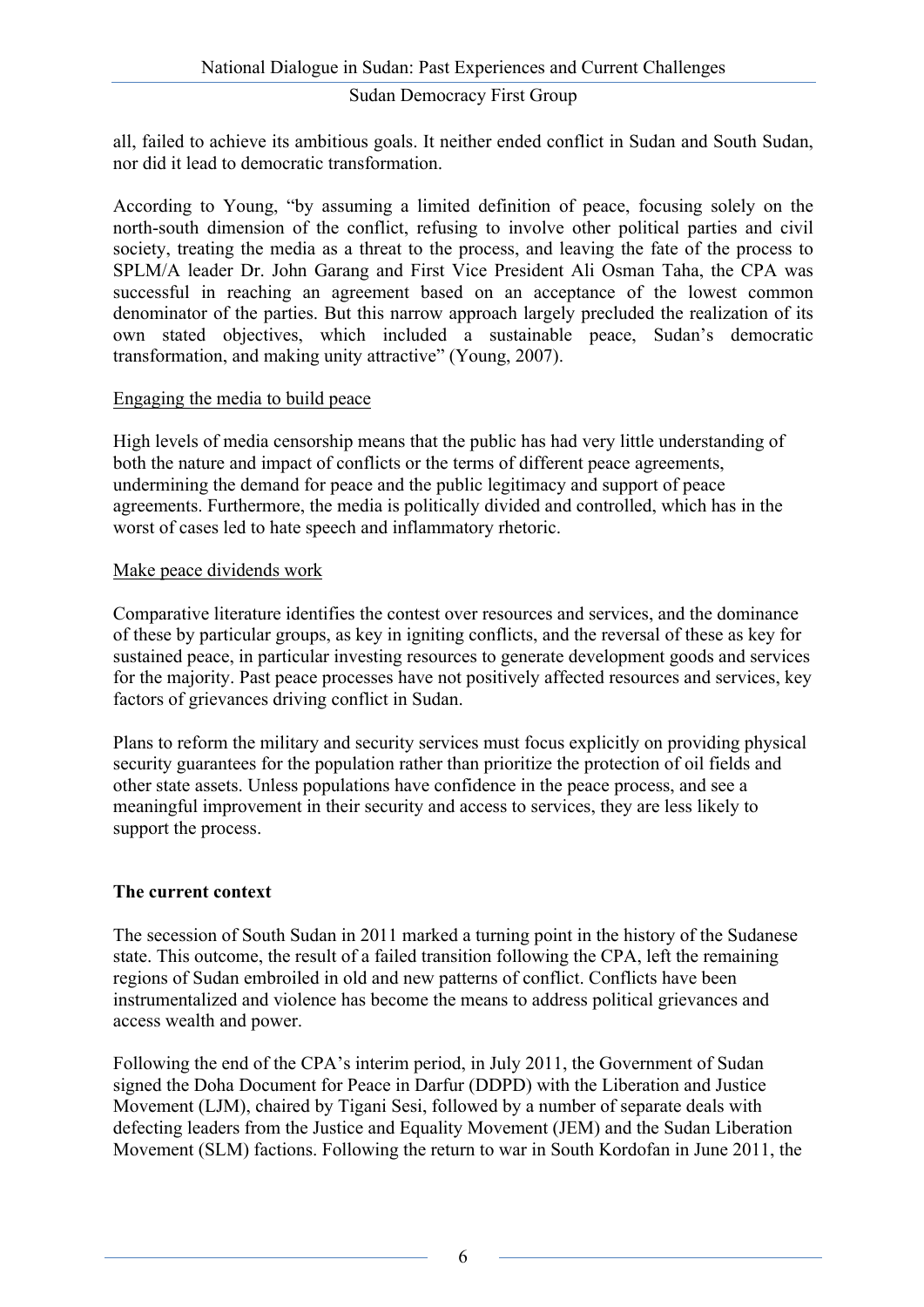all, failed to achieve its ambitious goals. It neither ended conflict in Sudan and South Sudan, nor did it lead to democratic transformation.

According to Young, "by assuming a limited definition of peace, focusing solely on the north-south dimension of the conflict, refusing to involve other political parties and civil society, treating the media as a threat to the process, and leaving the fate of the process to SPLM/A leader Dr. John Garang and First Vice President Ali Osman Taha, the CPA was successful in reaching an agreement based on an acceptance of the lowest common denominator of the parties. But this narrow approach largely precluded the realization of its own stated objectives, which included a sustainable peace, Sudan's democratic transformation, and making unity attractive" (Young, 2007).

## Engaging the media to build peace

High levels of media censorship means that the public has had very little understanding of both the nature and impact of conflicts or the terms of different peace agreements, undermining the demand for peace and the public legitimacy and support of peace agreements. Furthermore, the media is politically divided and controlled, which has in the worst of cases led to hate speech and inflammatory rhetoric.

#### Make peace dividends work

Comparative literature identifies the contest over resources and services, and the dominance of these by particular groups, as key in igniting conflicts, and the reversal of these as key for sustained peace, in particular investing resources to generate development goods and services for the majority. Past peace processes have not positively affected resources and services, key factors of grievances driving conflict in Sudan.

Plans to reform the military and security services must focus explicitly on providing physical security guarantees for the population rather than prioritize the protection of oil fields and other state assets. Unless populations have confidence in the peace process, and see a meaningful improvement in their security and access to services, they are less likely to support the process.

## **The current context**

The secession of South Sudan in 2011 marked a turning point in the history of the Sudanese state. This outcome, the result of a failed transition following the CPA, left the remaining regions of Sudan embroiled in old and new patterns of conflict. Conflicts have been instrumentalized and violence has become the means to address political grievances and access wealth and power.

Following the end of the CPA's interim period, in July 2011, the Government of Sudan signed the Doha Document for Peace in Darfur (DDPD) with the Liberation and Justice Movement (LJM), chaired by Tigani Sesi, followed by a number of separate deals with defecting leaders from the Justice and Equality Movement (JEM) and the Sudan Liberation Movement (SLM) factions. Following the return to war in South Kordofan in June 2011, the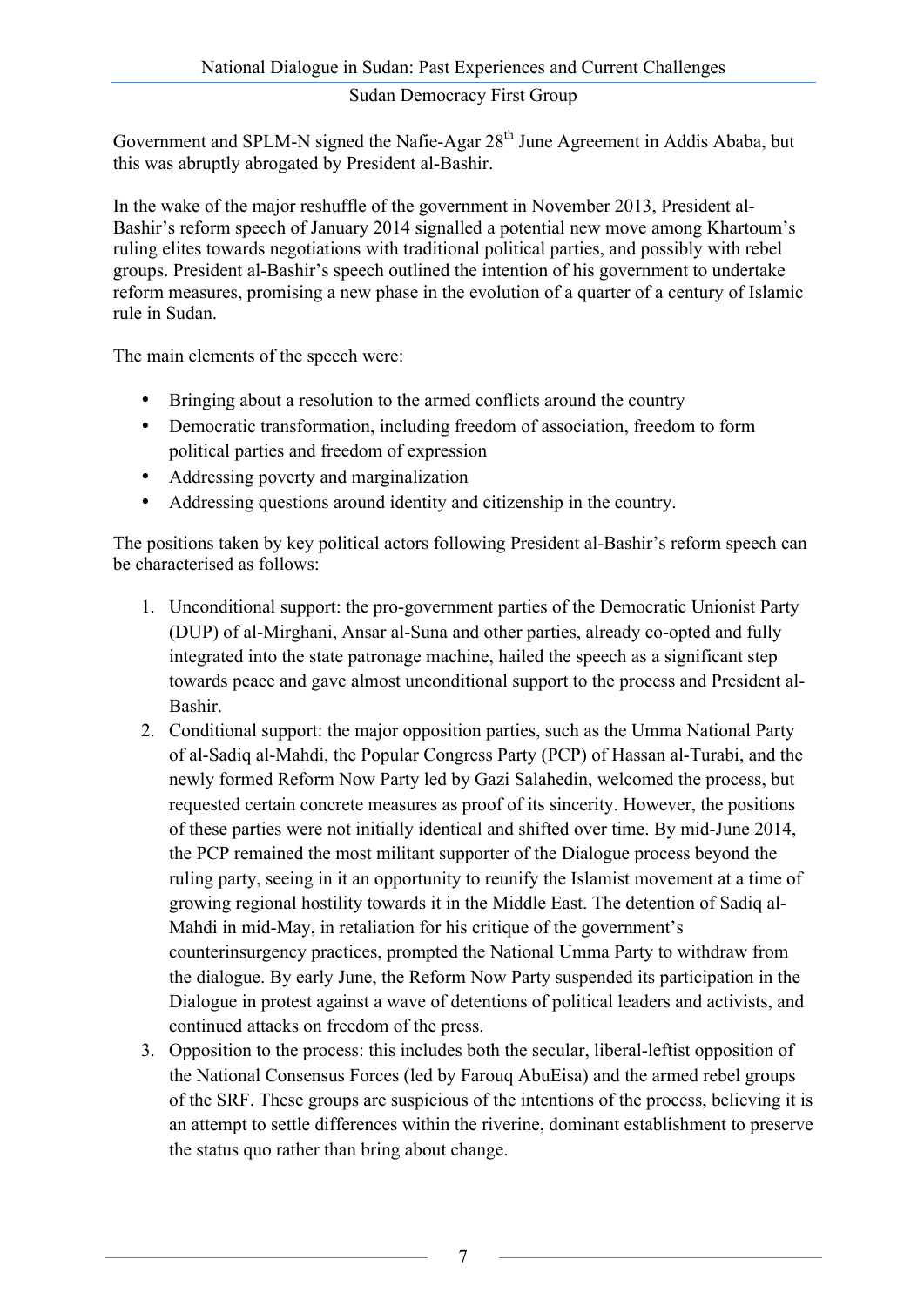Government and SPLM-N signed the Nafie-Agar 28<sup>th</sup> June Agreement in Addis Ababa, but this was abruptly abrogated by President al-Bashir.

In the wake of the major reshuffle of the government in November 2013, President al-Bashir's reform speech of January 2014 signalled a potential new move among Khartoum's ruling elites towards negotiations with traditional political parties, and possibly with rebel groups. President al-Bashir's speech outlined the intention of his government to undertake reform measures, promising a new phase in the evolution of a quarter of a century of Islamic rule in Sudan.

The main elements of the speech were:

- Bringing about a resolution to the armed conflicts around the country
- Democratic transformation, including freedom of association, freedom to form political parties and freedom of expression
- Addressing poverty and marginalization
- Addressing questions around identity and citizenship in the country.

The positions taken by key political actors following President al-Bashir's reform speech can be characterised as follows:

- 1. Unconditional support: the pro-government parties of the Democratic Unionist Party (DUP) of al-Mirghani, Ansar al-Suna and other parties, already co-opted and fully integrated into the state patronage machine, hailed the speech as a significant step towards peace and gave almost unconditional support to the process and President al-Bashir.
- 2. Conditional support: the major opposition parties, such as the Umma National Party of al-Sadiq al-Mahdi, the Popular Congress Party (PCP) of Hassan al-Turabi, and the newly formed Reform Now Party led by Gazi Salahedin, welcomed the process, but requested certain concrete measures as proof of its sincerity. However, the positions of these parties were not initially identical and shifted over time. By mid-June 2014, the PCP remained the most militant supporter of the Dialogue process beyond the ruling party, seeing in it an opportunity to reunify the Islamist movement at a time of growing regional hostility towards it in the Middle East. The detention of Sadiq al-Mahdi in mid-May, in retaliation for his critique of the government's counterinsurgency practices, prompted the National Umma Party to withdraw from the dialogue. By early June, the Reform Now Party suspended its participation in the Dialogue in protest against a wave of detentions of political leaders and activists, and continued attacks on freedom of the press.
- 3. Opposition to the process: this includes both the secular, liberal-leftist opposition of the National Consensus Forces (led by Farouq AbuEisa) and the armed rebel groups of the SRF. These groups are suspicious of the intentions of the process, believing it is an attempt to settle differences within the riverine, dominant establishment to preserve the status quo rather than bring about change.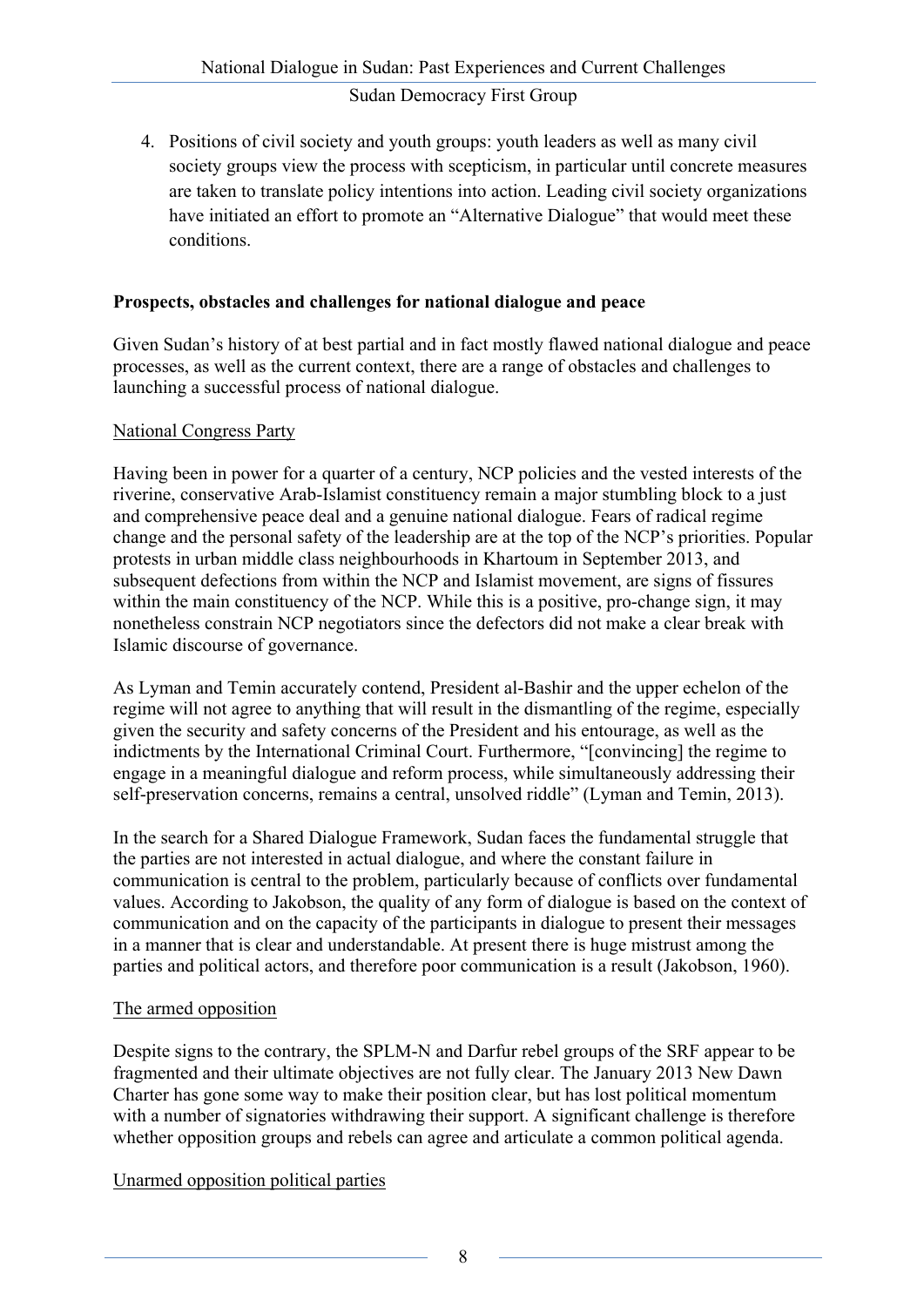4. Positions of civil society and youth groups: youth leaders as well as many civil society groups view the process with scepticism, in particular until concrete measures are taken to translate policy intentions into action. Leading civil society organizations have initiated an effort to promote an "Alternative Dialogue" that would meet these conditions.

## **Prospects, obstacles and challenges for national dialogue and peace**

Given Sudan's history of at best partial and in fact mostly flawed national dialogue and peace processes, as well as the current context, there are a range of obstacles and challenges to launching a successful process of national dialogue.

## National Congress Party

Having been in power for a quarter of a century, NCP policies and the vested interests of the riverine, conservative Arab-Islamist constituency remain a major stumbling block to a just and comprehensive peace deal and a genuine national dialogue. Fears of radical regime change and the personal safety of the leadership are at the top of the NCP's priorities. Popular protests in urban middle class neighbourhoods in Khartoum in September 2013, and subsequent defections from within the NCP and Islamist movement, are signs of fissures within the main constituency of the NCP. While this is a positive, pro-change sign, it may nonetheless constrain NCP negotiators since the defectors did not make a clear break with Islamic discourse of governance.

As Lyman and Temin accurately contend, President al-Bashir and the upper echelon of the regime will not agree to anything that will result in the dismantling of the regime, especially given the security and safety concerns of the President and his entourage, as well as the indictments by the International Criminal Court. Furthermore, "[convincing] the regime to engage in a meaningful dialogue and reform process, while simultaneously addressing their self-preservation concerns, remains a central, unsolved riddle" (Lyman and Temin, 2013).

In the search for a Shared Dialogue Framework, Sudan faces the fundamental struggle that the parties are not interested in actual dialogue, and where the constant failure in communication is central to the problem, particularly because of conflicts over fundamental values. According to Jakobson, the quality of any form of dialogue is based on the context of communication and on the capacity of the participants in dialogue to present their messages in a manner that is clear and understandable. At present there is huge mistrust among the parties and political actors, and therefore poor communication is a result (Jakobson, 1960).

## The armed opposition

Despite signs to the contrary, the SPLM-N and Darfur rebel groups of the SRF appear to be fragmented and their ultimate objectives are not fully clear. The January 2013 New Dawn Charter has gone some way to make their position clear, but has lost political momentum with a number of signatories withdrawing their support. A significant challenge is therefore whether opposition groups and rebels can agree and articulate a common political agenda.

Unarmed opposition political parties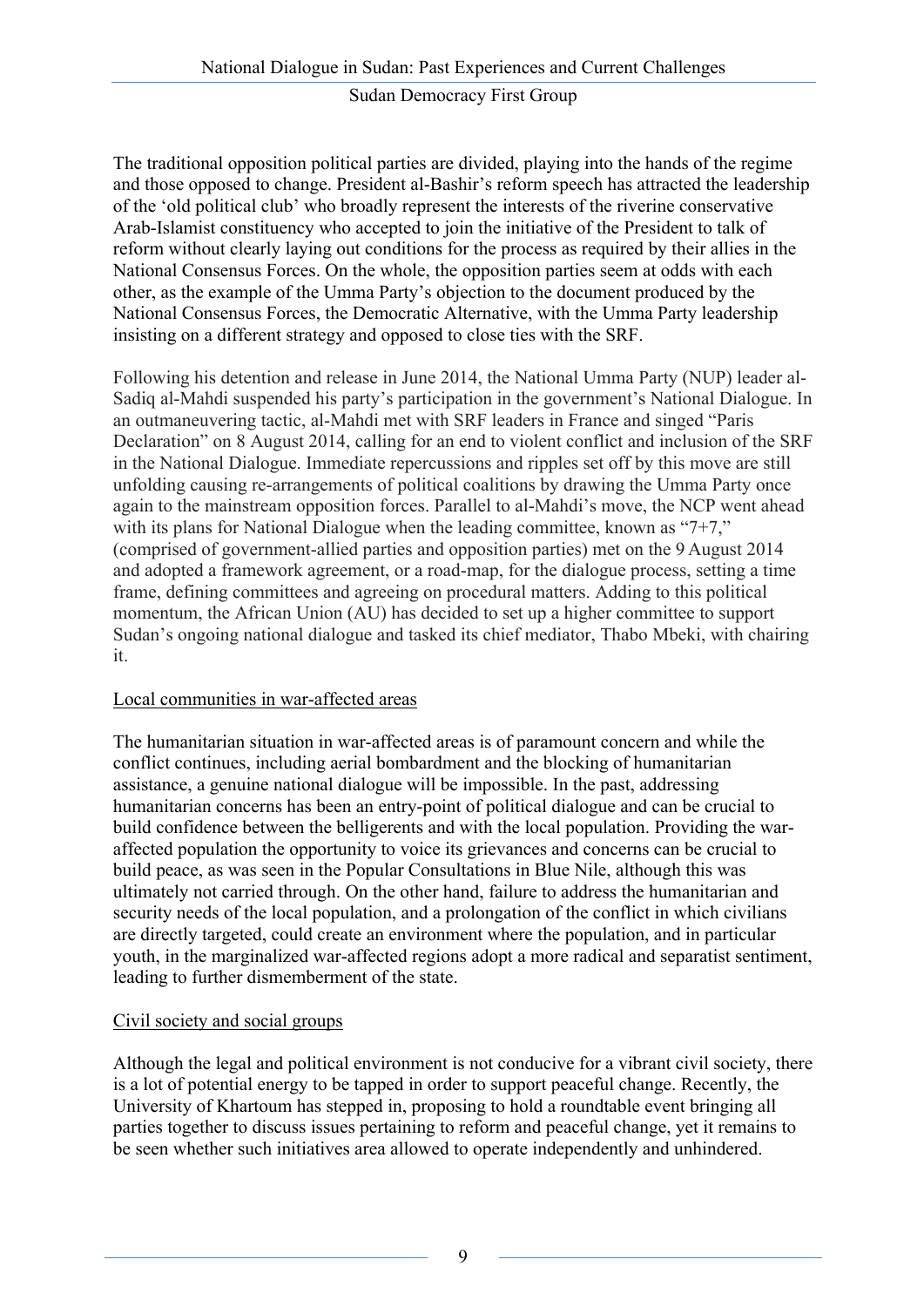The traditional opposition political parties are divided, playing into the hands of the regime and those opposed to change. President al-Bashir's reform speech has attracted the leadership of the 'old political club' who broadly represent the interests of the riverine conservative Arab-Islamist constituency who accepted to join the initiative of the President to talk of reform without clearly laying out conditions for the process as required by their allies in the National Consensus Forces. On the whole, the opposition parties seem at odds with each other, as the example of the Umma Party's objection to the document produced by the National Consensus Forces, the Democratic Alternative, with the Umma Party leadership insisting on a different strategy and opposed to close ties with the SRF.

Following his detention and release in June 2014, the National Umma Party (NUP) leader al-Sadiq al-Mahdi suspended his party's participation in the government's National Dialogue. In an outmaneuvering tactic, al-Mahdi met with SRF leaders in France and singed "Paris Declaration" on 8 August 2014, calling for an end to violent conflict and inclusion of the SRF in the National Dialogue. Immediate repercussions and ripples set off by this move are still unfolding causing re-arrangements of political coalitions by drawing the Umma Party once again to the mainstream opposition forces. Parallel to al-Mahdi's move, the NCP went ahead with its plans for National Dialogue when the leading committee, known as "7+7," (comprised of government-allied parties and opposition parties) met on the 9 August 2014 and adopted a framework agreement, or a road-map, for the dialogue process, setting a time frame, defining committees and agreeing on procedural matters. Adding to this political momentum, the African Union (AU) has decided to set up a higher committee to support Sudan's ongoing national dialogue and tasked its chief mediator, Thabo Mbeki, with chairing it.

## Local communities in war-affected areas

The humanitarian situation in war-affected areas is of paramount concern and while the conflict continues, including aerial bombardment and the blocking of humanitarian assistance, a genuine national dialogue will be impossible. In the past, addressing humanitarian concerns has been an entry-point of political dialogue and can be crucial to build confidence between the belligerents and with the local population. Providing the waraffected population the opportunity to voice its grievances and concerns can be crucial to build peace, as was seen in the Popular Consultations in Blue Nile, although this was ultimately not carried through. On the other hand, failure to address the humanitarian and security needs of the local population, and a prolongation of the conflict in which civilians are directly targeted, could create an environment where the population, and in particular youth, in the marginalized war-affected regions adopt a more radical and separatist sentiment, leading to further dismemberment of the state.

## Civil society and social groups

Although the legal and political environment is not conducive for a vibrant civil society, there is a lot of potential energy to be tapped in order to support peaceful change. Recently, the University of Khartoum has stepped in, proposing to hold a roundtable event bringing all parties together to discuss issues pertaining to reform and peaceful change, yet it remains to be seen whether such initiatives area allowed to operate independently and unhindered.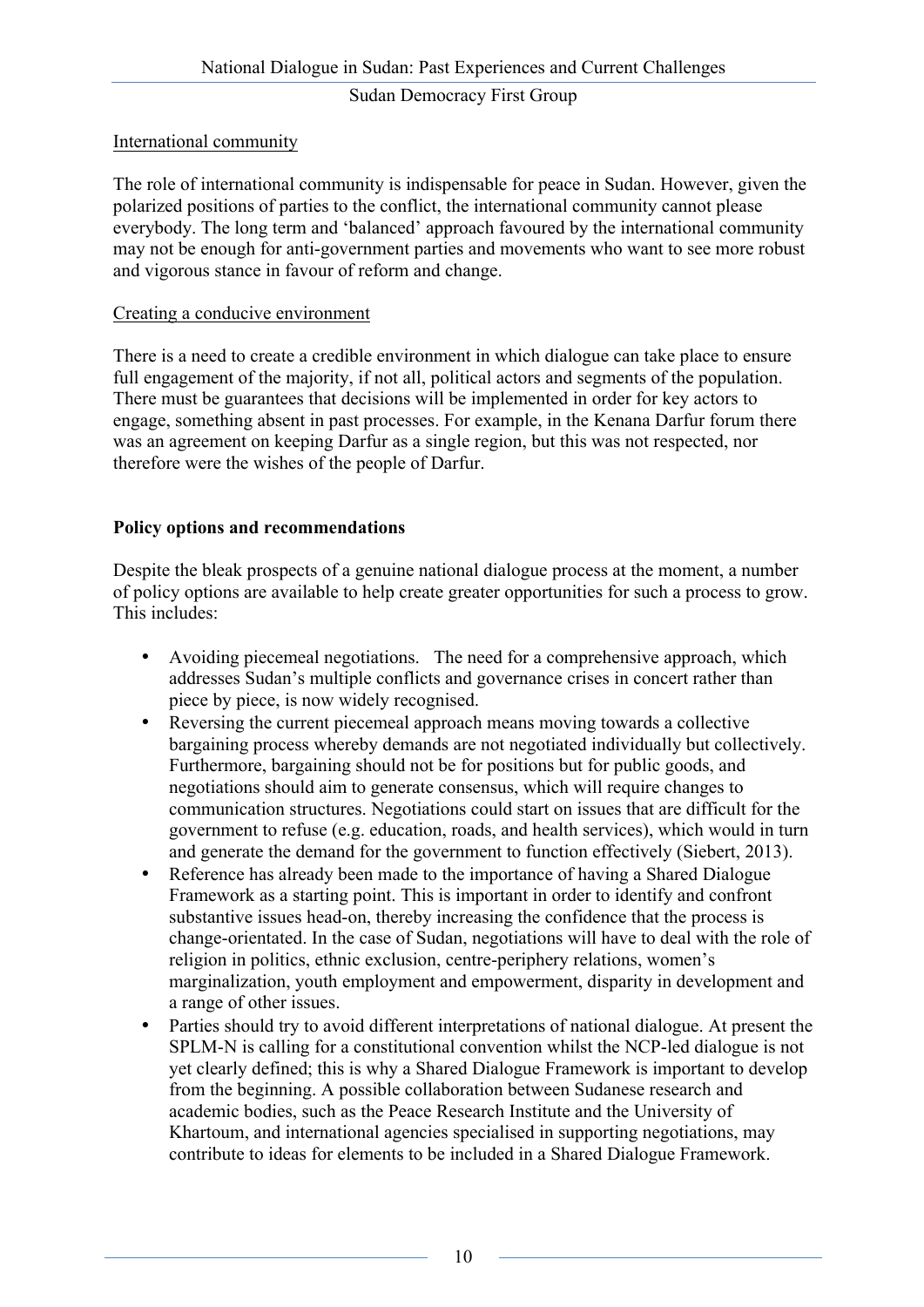## International community

The role of international community is indispensable for peace in Sudan. However, given the polarized positions of parties to the conflict, the international community cannot please everybody. The long term and 'balanced' approach favoured by the international community may not be enough for anti-government parties and movements who want to see more robust and vigorous stance in favour of reform and change.

#### Creating a conducive environment

There is a need to create a credible environment in which dialogue can take place to ensure full engagement of the majority, if not all, political actors and segments of the population. There must be guarantees that decisions will be implemented in order for key actors to engage, something absent in past processes. For example, in the Kenana Darfur forum there was an agreement on keeping Darfur as a single region, but this was not respected, nor therefore were the wishes of the people of Darfur.

## **Policy options and recommendations**

Despite the bleak prospects of a genuine national dialogue process at the moment, a number of policy options are available to help create greater opportunities for such a process to grow. This includes:

- Avoiding piecemeal negotiations. The need for a comprehensive approach, which addresses Sudan's multiple conflicts and governance crises in concert rather than piece by piece, is now widely recognised.
- Reversing the current piecemeal approach means moving towards a collective bargaining process whereby demands are not negotiated individually but collectively. Furthermore, bargaining should not be for positions but for public goods, and negotiations should aim to generate consensus, which will require changes to communication structures. Negotiations could start on issues that are difficult for the government to refuse (e.g. education, roads, and health services), which would in turn and generate the demand for the government to function effectively (Siebert, 2013).
- Reference has already been made to the importance of having a Shared Dialogue Framework as a starting point. This is important in order to identify and confront substantive issues head-on, thereby increasing the confidence that the process is change-orientated. In the case of Sudan, negotiations will have to deal with the role of religion in politics, ethnic exclusion, centre-periphery relations, women's marginalization, youth employment and empowerment, disparity in development and a range of other issues.
- Parties should try to avoid different interpretations of national dialogue. At present the SPLM-N is calling for a constitutional convention whilst the NCP-led dialogue is not yet clearly defined; this is why a Shared Dialogue Framework is important to develop from the beginning. A possible collaboration between Sudanese research and academic bodies, such as the Peace Research Institute and the University of Khartoum, and international agencies specialised in supporting negotiations, may contribute to ideas for elements to be included in a Shared Dialogue Framework.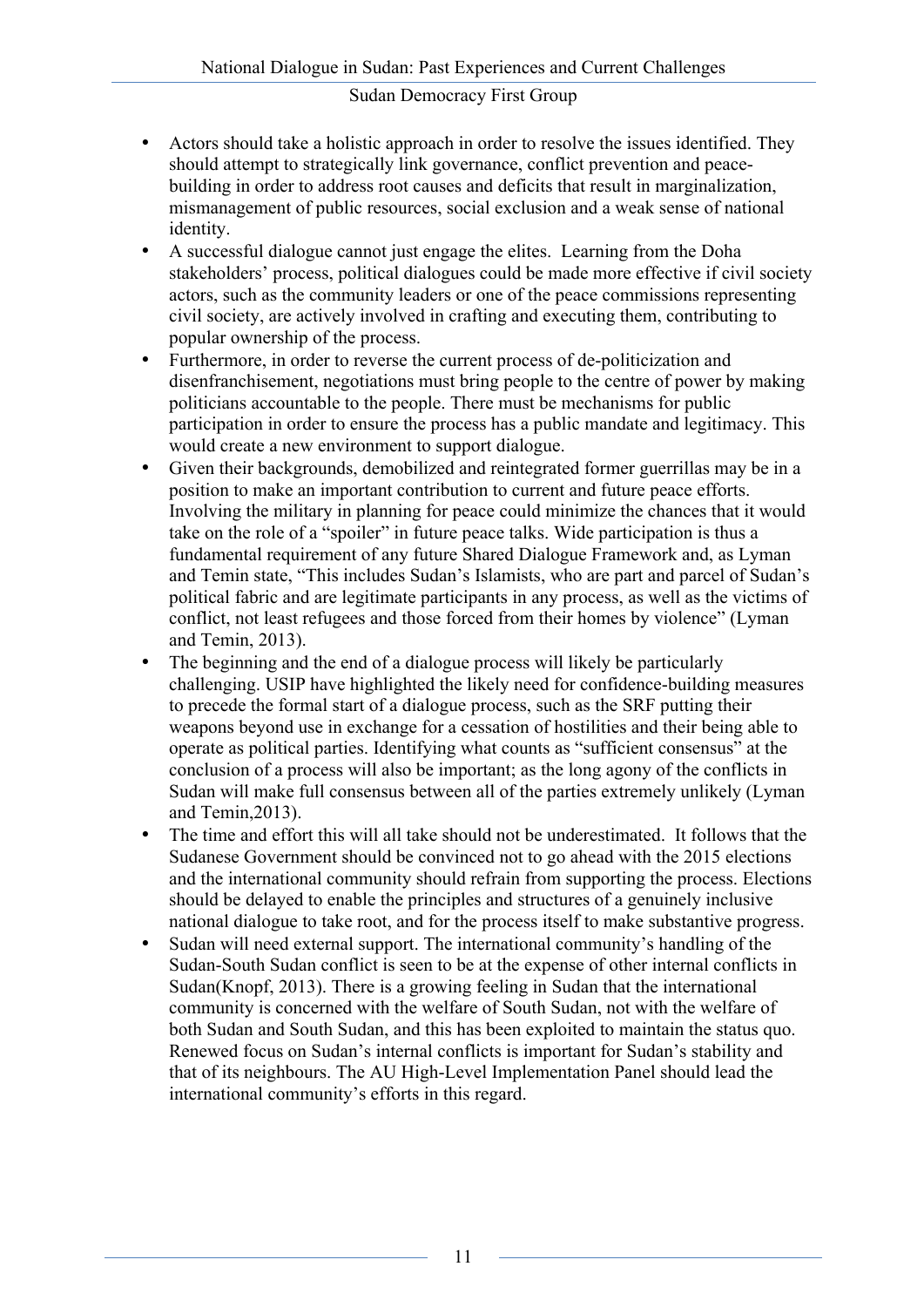- Actors should take a holistic approach in order to resolve the issues identified. They should attempt to strategically link governance, conflict prevention and peacebuilding in order to address root causes and deficits that result in marginalization, mismanagement of public resources, social exclusion and a weak sense of national identity.
- A successful dialogue cannot just engage the elites. Learning from the Doha stakeholders' process, political dialogues could be made more effective if civil society actors, such as the community leaders or one of the peace commissions representing civil society, are actively involved in crafting and executing them, contributing to popular ownership of the process.
- Furthermore, in order to reverse the current process of de-politicization and disenfranchisement, negotiations must bring people to the centre of power by making politicians accountable to the people. There must be mechanisms for public participation in order to ensure the process has a public mandate and legitimacy. This would create a new environment to support dialogue.
- Given their backgrounds, demobilized and reintegrated former guerrillas may be in a position to make an important contribution to current and future peace efforts. Involving the military in planning for peace could minimize the chances that it would take on the role of a "spoiler" in future peace talks. Wide participation is thus a fundamental requirement of any future Shared Dialogue Framework and, as Lyman and Temin state, "This includes Sudan's Islamists, who are part and parcel of Sudan's political fabric and are legitimate participants in any process, as well as the victims of conflict, not least refugees and those forced from their homes by violence" (Lyman and Temin, 2013).
- The beginning and the end of a dialogue process will likely be particularly challenging. USIP have highlighted the likely need for confidence-building measures to precede the formal start of a dialogue process, such as the SRF putting their weapons beyond use in exchange for a cessation of hostilities and their being able to operate as political parties. Identifying what counts as "sufficient consensus" at the conclusion of a process will also be important; as the long agony of the conflicts in Sudan will make full consensus between all of the parties extremely unlikely (Lyman and Temin,2013).
- The time and effort this will all take should not be underestimated. It follows that the Sudanese Government should be convinced not to go ahead with the 2015 elections and the international community should refrain from supporting the process. Elections should be delayed to enable the principles and structures of a genuinely inclusive national dialogue to take root, and for the process itself to make substantive progress.
- Sudan will need external support. The international community's handling of the Sudan-South Sudan conflict is seen to be at the expense of other internal conflicts in Sudan(Knopf, 2013). There is a growing feeling in Sudan that the international community is concerned with the welfare of South Sudan, not with the welfare of both Sudan and South Sudan, and this has been exploited to maintain the status quo. Renewed focus on Sudan's internal conflicts is important for Sudan's stability and that of its neighbours. The AU High-Level Implementation Panel should lead the international community's efforts in this regard.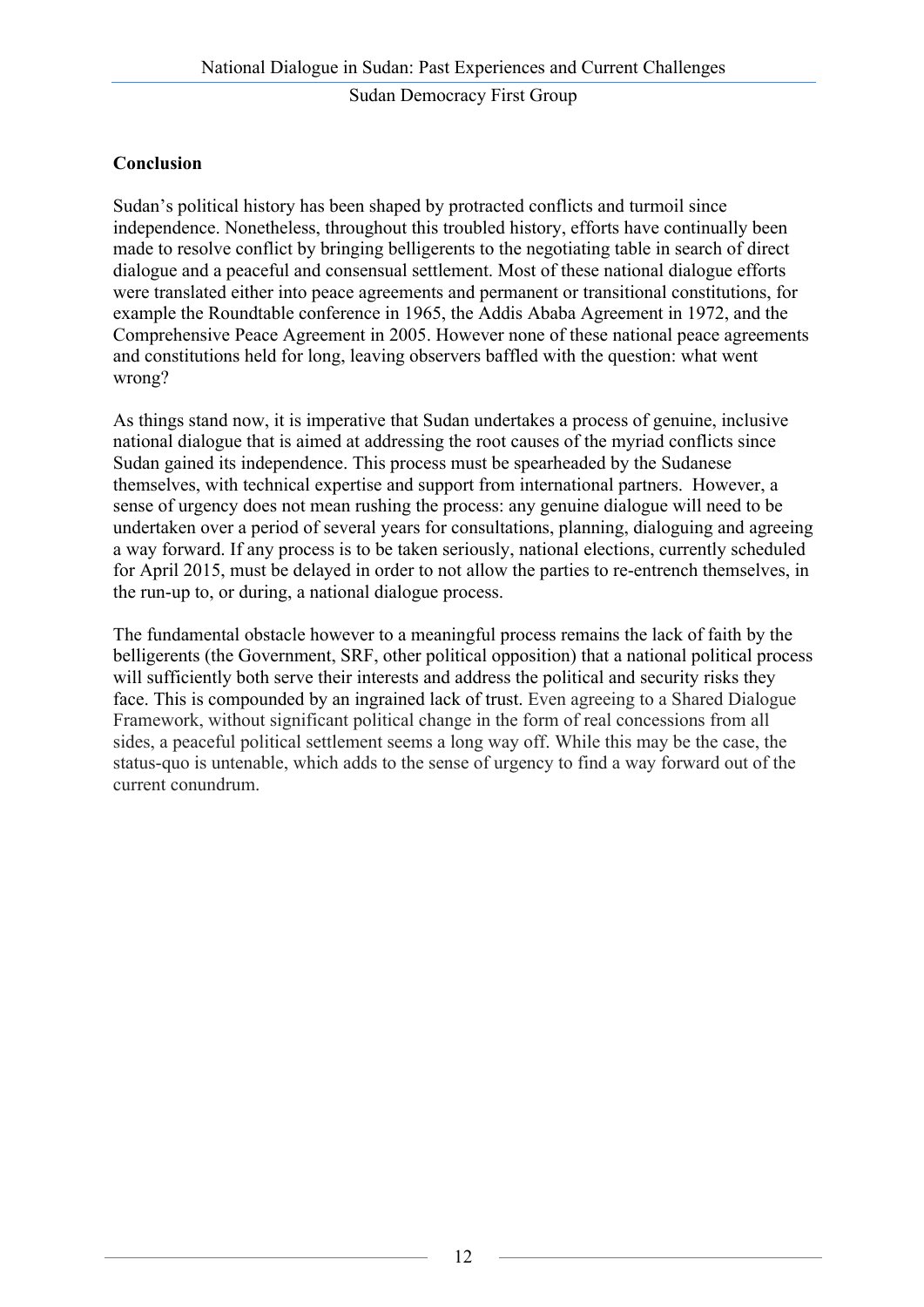# **Conclusion**

Sudan's political history has been shaped by protracted conflicts and turmoil since independence. Nonetheless, throughout this troubled history, efforts have continually been made to resolve conflict by bringing belligerents to the negotiating table in search of direct dialogue and a peaceful and consensual settlement. Most of these national dialogue efforts were translated either into peace agreements and permanent or transitional constitutions, for example the Roundtable conference in 1965, the Addis Ababa Agreement in 1972, and the Comprehensive Peace Agreement in 2005. However none of these national peace agreements and constitutions held for long, leaving observers baffled with the question: what went wrong?

As things stand now, it is imperative that Sudan undertakes a process of genuine, inclusive national dialogue that is aimed at addressing the root causes of the myriad conflicts since Sudan gained its independence. This process must be spearheaded by the Sudanese themselves, with technical expertise and support from international partners. However, a sense of urgency does not mean rushing the process: any genuine dialogue will need to be undertaken over a period of several years for consultations, planning, dialoguing and agreeing a way forward. If any process is to be taken seriously, national elections, currently scheduled for April 2015, must be delayed in order to not allow the parties to re-entrench themselves, in the run-up to, or during, a national dialogue process.

The fundamental obstacle however to a meaningful process remains the lack of faith by the belligerents (the Government, SRF, other political opposition) that a national political process will sufficiently both serve their interests and address the political and security risks they face. This is compounded by an ingrained lack of trust. Even agreeing to a Shared Dialogue Framework, without significant political change in the form of real concessions from all sides, a peaceful political settlement seems a long way off. While this may be the case, the status-quo is untenable, which adds to the sense of urgency to find a way forward out of the current conundrum.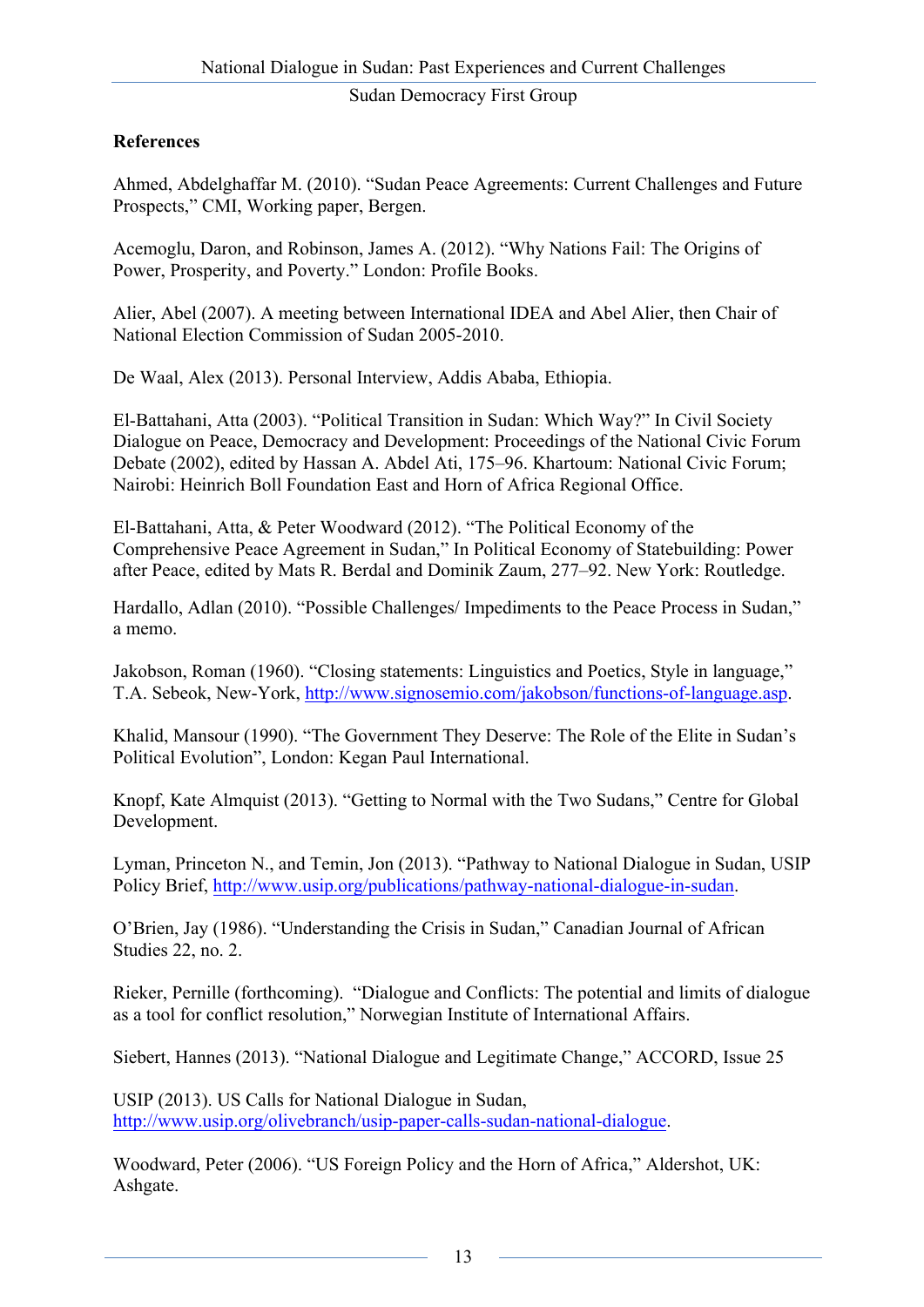# **References**

Ahmed, Abdelghaffar M. (2010). "Sudan Peace Agreements: Current Challenges and Future Prospects," CMI, Working paper, Bergen.

Acemoglu, Daron, and Robinson, James A. (2012). "Why Nations Fail: The Origins of Power, Prosperity, and Poverty." London: Profile Books.

Alier, Abel (2007). A meeting between International IDEA and Abel Alier, then Chair of National Election Commission of Sudan 2005-2010.

De Waal, Alex (2013). Personal Interview, Addis Ababa, Ethiopia.

El-Battahani, Atta (2003). "Political Transition in Sudan: Which Way?" In Civil Society Dialogue on Peace, Democracy and Development: Proceedings of the National Civic Forum Debate (2002), edited by Hassan A. Abdel Ati, 175–96. Khartoum: National Civic Forum; Nairobi: Heinrich Boll Foundation East and Horn of Africa Regional Office.

El-Battahani, Atta, & Peter Woodward (2012). "The Political Economy of the Comprehensive Peace Agreement in Sudan," In Political Economy of Statebuilding: Power after Peace, edited by Mats R. Berdal and Dominik Zaum, 277–92. New York: Routledge.

Hardallo, Adlan (2010). "Possible Challenges/ Impediments to the Peace Process in Sudan," a memo.

Jakobson, Roman (1960). "Closing statements: Linguistics and Poetics, Style in language," T.A. Sebeok, New-York, http://www.signosemio.com/jakobson/functions-of-language.asp.

Khalid, Mansour (1990). "The Government They Deserve: The Role of the Elite in Sudan's Political Evolution", London: Kegan Paul International.

Knopf, Kate Almquist (2013). "Getting to Normal with the Two Sudans," Centre for Global Development.

Lyman, Princeton N., and Temin, Jon (2013). "Pathway to National Dialogue in Sudan, USIP Policy Brief, http://www.usip.org/publications/pathway-national-dialogue-in-sudan.

O'Brien, Jay (1986). "Understanding the Crisis in Sudan," Canadian Journal of African Studies 22, no. 2.

Rieker, Pernille (forthcoming). "Dialogue and Conflicts: The potential and limits of dialogue as a tool for conflict resolution," Norwegian Institute of International Affairs.

Siebert, Hannes (2013). "National Dialogue and Legitimate Change," ACCORD, Issue 25

USIP (2013). US Calls for National Dialogue in Sudan, http://www.usip.org/olivebranch/usip-paper-calls-sudan-national-dialogue.

Woodward, Peter (2006). "US Foreign Policy and the Horn of Africa," Aldershot, UK: Ashgate.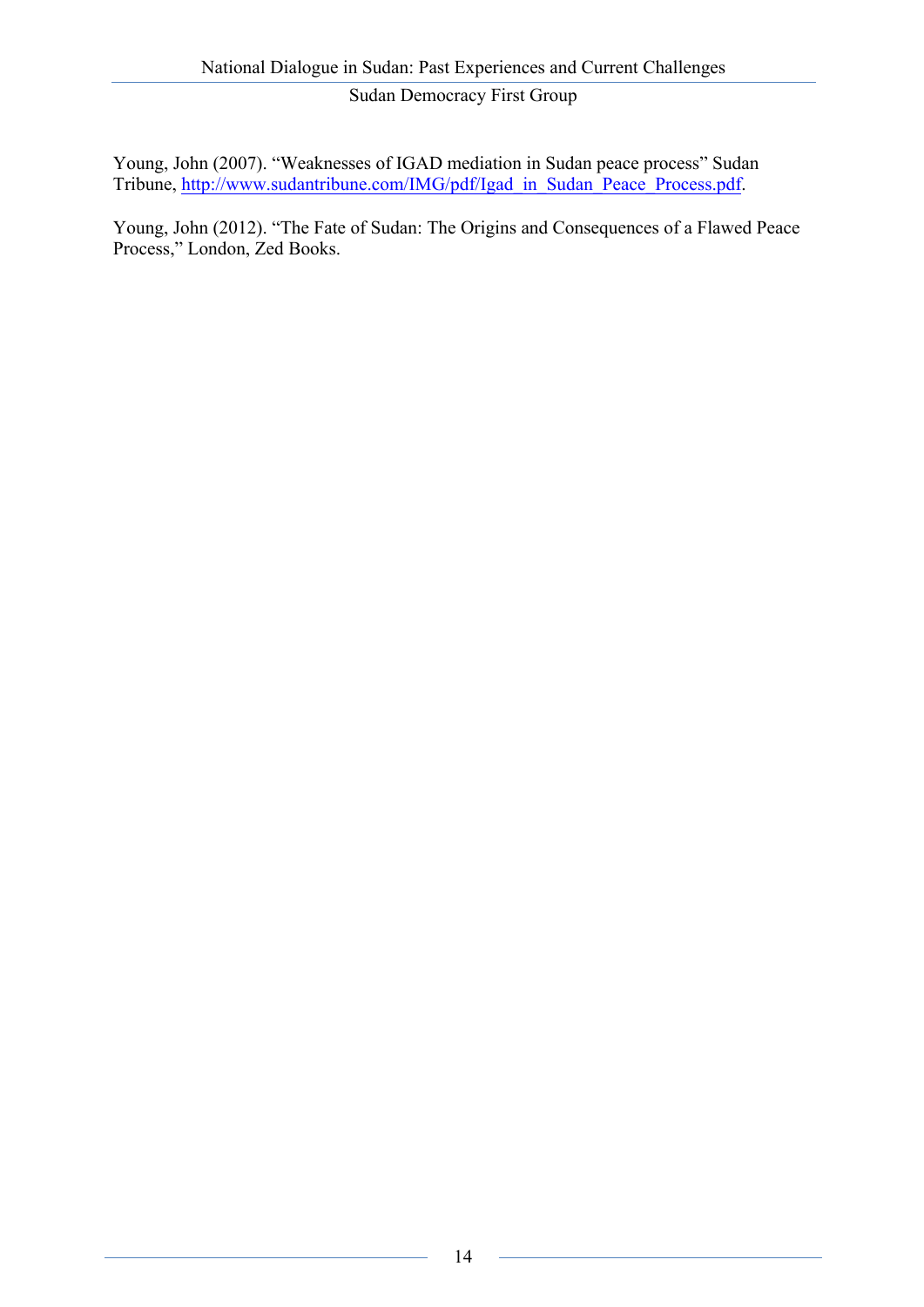Young, John (2007). "Weaknesses of IGAD mediation in Sudan peace process" Sudan Tribune, http://www.sudantribune.com/IMG/pdf/Igad\_in\_Sudan\_Peace\_Process.pdf.

Young, John (2012). "The Fate of Sudan: The Origins and Consequences of a Flawed Peace Process," London, Zed Books.